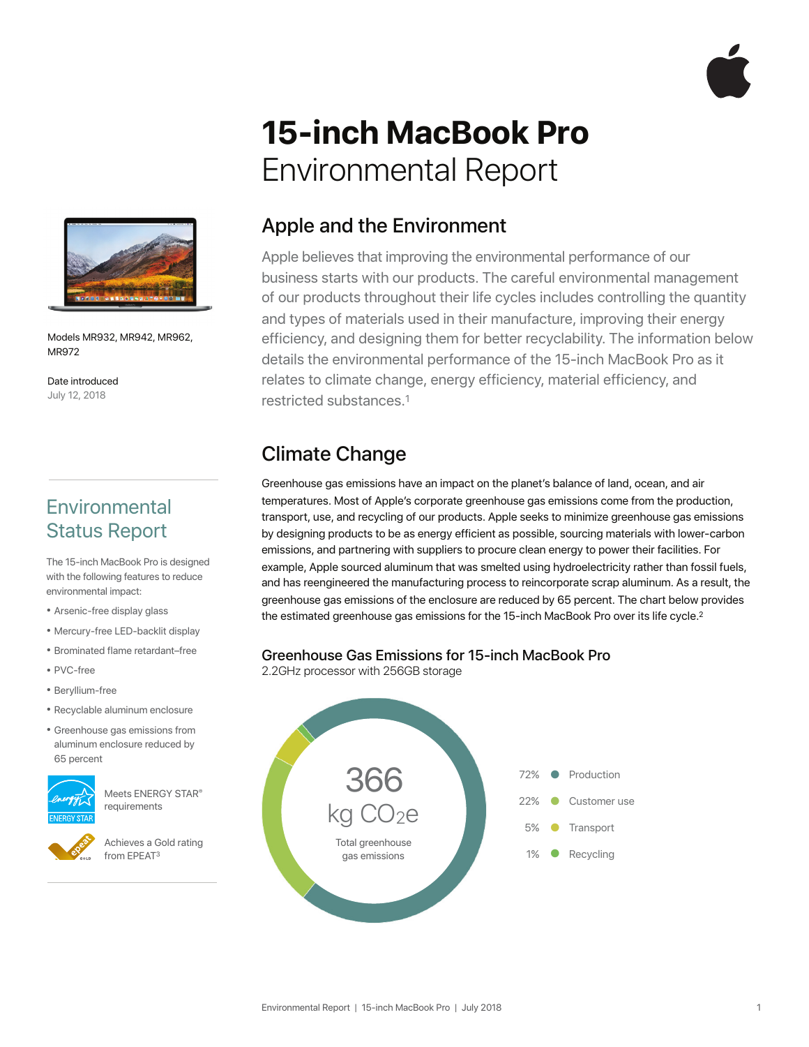

# **15-inch MacBook Pro**  Environmental Report



Models MR932, MR942, MR962, MR972

Date introduced July 12, 2018

## **Environmental** Status Report

The 15-inch MacBook Pro is designed with the following features to reduce environmental impact:

- Arsenic-free display glass
- Mercury-free LED-backlit display
- Brominated flame retardant–free
- PVC-free
- Beryllium-free
- Recyclable aluminum enclosure
- Greenhouse gas emissions from aluminum enclosure reduced by 65 percent



Meets ENERGY STAR® requirements

Achieves a Gold rating from EPEAT3

#### Apple and the Environment

Apple believes that improving the environmental performance of our business starts with our products. The careful environmental management of our products throughout their life cycles includes controlling the quantity and types of materials used in their manufacture, improving their energy efficiency, and designing them for better recyclability. The information below details the environmental performance of the 15-inch MacBook Pro as it relates to climate change, energy efficiency, material efficiency, and restricted substances.1

## Climate Change

Greenhouse gas emissions have an impact on the planet's balance of land, ocean, and air temperatures. Most of Apple's corporate greenhouse gas emissions come from the production, transport, use, and recycling of our products. Apple seeks to minimize greenhouse gas emissions by designing products to be as energy efficient as possible, sourcing materials with lower-carbon emissions, and partnering with suppliers to procure clean energy to power their facilities. For example, Apple sourced aluminum that was smelted using hydroelectricity rather than fossil fuels, and has reengineered the manufacturing process to reincorporate scrap aluminum. As a result, the greenhouse gas emissions of the enclosure are reduced by 65 percent. The chart below provides the estimated greenhouse gas emissions for the 15-inch MacBook Pro over its life cycle.<sup>2</sup>

# **Greenhouse Gas Emissions for 15-inch MacBook Pro**<br>2.2GHz processor with 256GB storage

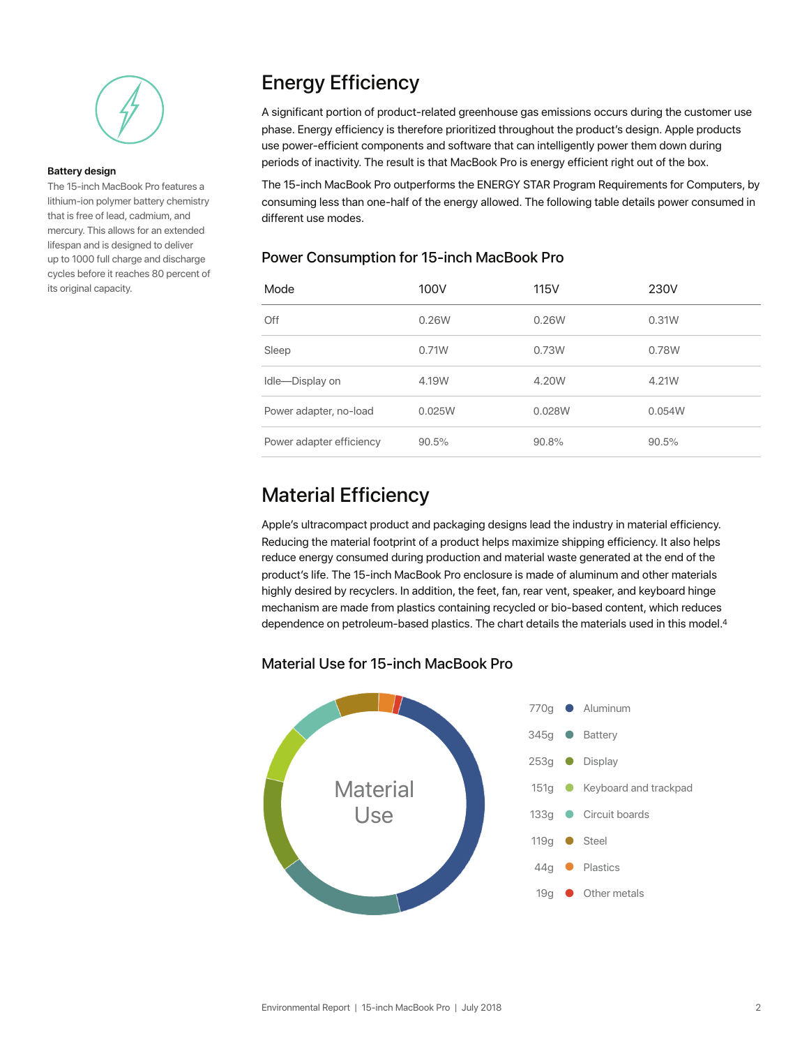

#### **Battery design**

The 15-inch MacBook Pro features a lithium-ion polymer battery chemistry that is free of lead, cadmium, and mercury. This allows for an extended lifespan and is designed to deliver up to 1000 full charge and discharge cycles before it reaches 80 percent of its original capacity.

### Energy Efficiency

A significant portion of product-related greenhouse gas emissions occurs during the customer use phase. Energy efficiency is therefore prioritized throughout the product's design. Apple products use power-efficient components and software that can intelligently power them down during periods of inactivity. The result is that MacBook Pro is energy efficient right out of the box.

The 15-inch MacBook Pro outperforms the ENERGY STAR Program Requirements for Computers, by consuming less than one-half of the energy allowed. The following table details power consumed in different use modes.

#### Power Consumption for 15-inch MacBook Pro

| Mode                     | 100V   | 115V   | 230V   |
|--------------------------|--------|--------|--------|
| Off                      | 0.26W  | 0.26W  | 0.31W  |
| Sleep                    | 0.71W  | 0.73W  | 0.78W  |
| Idle-Display on          | 4.19W  | 4.20W  | 4.21W  |
| Power adapter, no-load   | 0.025W | 0.028W | 0.054W |
| Power adapter efficiency | 90.5%  | 90.8%  | 90.5%  |

#### Material Efficiency

Apple's ultracompact product and packaging designs lead the industry in material efficiency. Reducing the material footprint of a product helps maximize shipping efficiency. It also helps reduce energy consumed during production and material waste generated at the end of the product's life. The 15-inch MacBook Pro enclosure is made of aluminum and other materials highly desired by recyclers. In addition, the feet, fan, rear vent, speaker, and keyboard hinge mechanism are made from plastics containing recycled or bio-based content, which reduces dependence on petroleum-based plastics. The chart details the materials used in this model.<sup>4</sup>

#### Material Use for 15-inch MacBook Pro

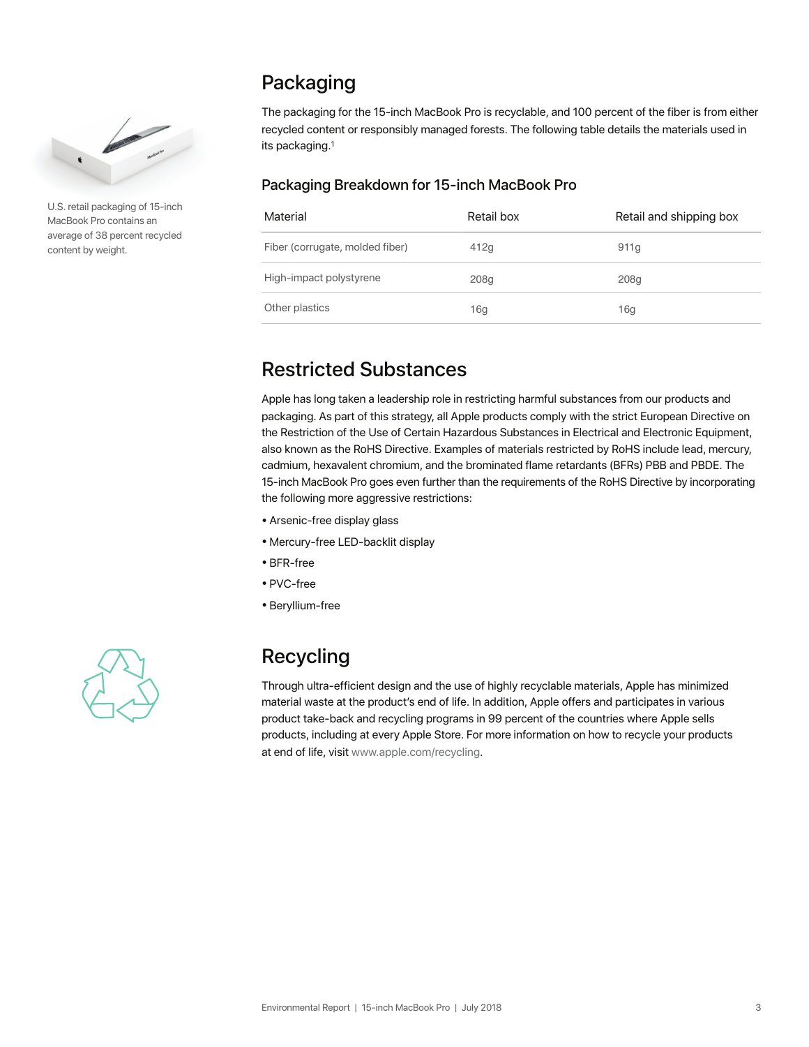

U.S. retail packaging of 15-inch MacBook Pro contains an average of 38 percent recycled content by weight.

### Packaging

The packaging for the 15-inch MacBook Pro is recyclable, and 100 percent of the fiber is from either recycled content or responsibly managed forests. The following table details the materials used in its packaging.1

#### Packaging Breakdown for 15-inch MacBook Pro

| Material                        | Retail box | Retail and shipping box |
|---------------------------------|------------|-------------------------|
| Fiber (corrugate, molded fiber) | 412g       | 911g                    |
| High-impact polystyrene         | 208g       | 208g                    |
| Other plastics                  | 16g        | 16g                     |

#### Restricted Substances

Apple has long taken a leadership role in restricting harmful substances from our products and packaging. As part of this strategy, all Apple products comply with the strict European Directive on the Restriction of the Use of Certain Hazardous Substances in Electrical and Electronic Equipment, also known as the RoHS Directive. Examples of materials restricted by RoHS include lead, mercury, cadmium, hexavalent chromium, and the brominated flame retardants (BFRs) PBB and PBDE. The 15-inch MacBook Pro goes even further than the requirements of the RoHS Directive by incorporating the following more aggressive restrictions:

- Arsenic-free display glass
- Mercury-free LED-backlit display
- BFR-free
- PVC-free
- Beryllium-free



# Recycling

Through ultra-efficient design and the use of highly recyclable materials, Apple has minimized material waste at the product's end of life. In addition, Apple offers and participates in various product take-back and recycling programs in 99 percent of the countries where Apple sells products, including at every Apple Store. For more information on how to recycle your products at end of life, visit [www.apple.com/recycling.](http://www.apple.com/recycling)